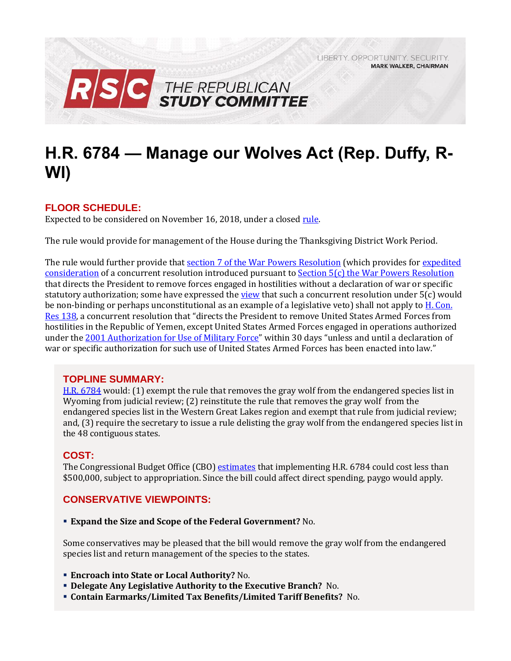LIBERTY. OPPORTUNITY. SECURITY. **MARK WALKER, CHAIRMAN** 



# **H.R. 6784 — Manage our Wolves Act (Rep. Duffy, R-WI)**

## **FLOOR SCHEDULE:**

Expected to be considered on November 16, 2018, under a close[d rule.](https://rules.house.gov/sites/republicans.rules.house.gov/files/Rule_HR6784.pdf)

The rule would provide for management of the House during the Thanksgiving District Work Period.

The rule would further provide that [section 7 of the War Powers Resolution](http://uscode.house.gov/view.xhtml?req=(title:50%20section:1546%20edition:prelim)%20OR%20(granuleid:USC-prelim-title50-section1546)&f=treesort&edition=prelim&num=0&jumpTo=true) (which provides for [expedited](https://crsreports.congress.gov/product/pdf/R/R42699#page=8)  [consideration](https://crsreports.congress.gov/product/pdf/R/R42699#page=8) of a concurrent resolution introduced pursuant to Section 5(c) [the War Powers Resolution](http://uscode.house.gov/view.xhtml?hl=false&edition=prelim&req=granuleid%3AUSC-prelim-title50-section1544&f=treesort&num=0&saved=%7CKHRpdGxlOjUwIHNlY3Rpb246MTU0NiBlZGl0aW9uOnByZWxpbSkgT1IgKGdyYW51bGVpZDpVU0MtcHJlbGltLXRpdGxlNTAtc2VjdGlvbjE1NDYp%7CdHJlZXNvcnQ%3D%7C%7C0%7Cfalse%7Cprelim) that directs the President to remove forces engaged in hostilities without a declaration of war or specific statutory authorization; some have expressed th[e view](https://crsreports.congress.gov/product/pdf/R/R42699#page=11) that such a concurrent resolution under 5(c) would be non-binding or perhaps unconstitutional as an example of a legislative veto) shall not apply to H. Con. [Res 138](https://www.congress.gov/bill/115th-congress/house-concurrent-resolution/138), a concurrent resolution that "directs the President to remove United States Armed Forces from hostilities in the Republic of Yemen, except United States Armed Forces engaged in operations authorized under the [2001 Authorization for Use of Military Force](https://www.congress.gov/107/plaws/publ40/PLAW-107publ40.pdf)" within 30 days "unless and until a declaration of war or specific authorization for such use of United States Armed Forces has been enacted into law."

## **TOPLINE SUMMARY:**

[H.R. 6784](https://www.gpo.gov/fdsys/pkg/BILLS-115hr6784ih/pdf/BILLS-115hr6784ih.pdf) would: (1) exempt the rule that removes the gray wolf from the endangered species list in Wyoming from judicial review; (2) reinstitute the rule that removes the gray wolf from the endangered species list in the Western Great Lakes region and exempt that rule from judicial review; and, (3) require the secretary to issue a rule delisting the gray wolf from the endangered species list in the 48 contiguous states.

## **COST:**

The Congressional Budget Office (CBO) [estimates](https://www.cbo.gov/system/files?file=2018-10/hr6784.pdf) that implementing H.R. 6784 could cost less than \$500,000, subject to appropriation. Since the bill could affect direct spending, paygo would apply.

## **CONSERVATIVE VIEWPOINTS:**

**Expand the Size and Scope of the Federal Government?** No.

Some conservatives may be pleased that the bill would remove the gray wolf from the endangered species list and return management of the species to the states.

- **Encroach into State or Local Authority?** No.
- **Delegate Any Legislative Authority to the Executive Branch?** No.
- **Contain Earmarks/Limited Tax Benefits/Limited Tariff Benefits?** No.